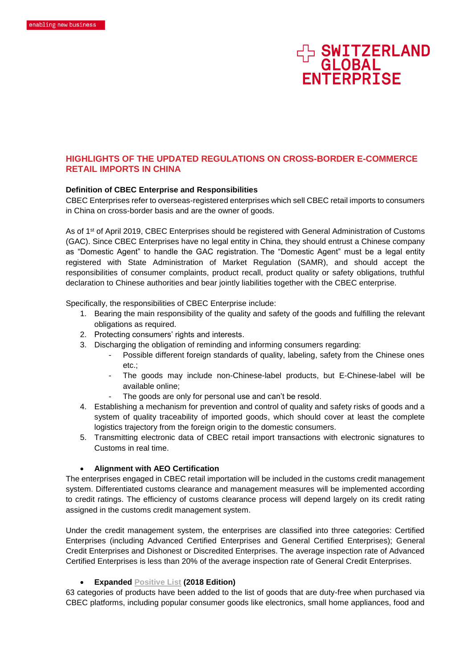

# **HIGHLIGHTS OF THE UPDATED REGULATIONS ON CROSS-BORDER E-COMMERCE RETAIL IMPORTS IN CHINA**

#### **Definition of CBEC Enterprise and Responsibilities**

CBEC Enterprises refer to overseas-registered enterprises which sell CBEC retail imports to consumers in China on cross-border basis and are the owner of goods.

As of 1<sup>st</sup> of April 2019, CBEC Enterprises should be registered with General Administration of Customs (GAC). Since CBEC Enterprises have no legal entity in China, they should entrust a Chinese company as "Domestic Agent" to handle the GAC registration. The "Domestic Agent" must be a legal entity registered with State Administration of Market Regulation (SAMR), and should accept the responsibilities of consumer complaints, product recall, product quality or safety obligations, truthful declaration to Chinese authorities and bear jointly liabilities together with the CBEC enterprise.

Specifically, the responsibilities of CBEC Enterprise include:

- 1. Bearing the main responsibility of the quality and safety of the goods and fulfilling the relevant obligations as required.
- 2. Protecting consumers' rights and interests.
- 3. Discharging the obligation of reminding and informing consumers regarding:
	- Possible different foreign standards of quality, labeling, safety from the Chinese ones etc.;
	- The goods may include non-Chinese-label products, but E-Chinese-label will be available online;
	- The goods are only for personal use and can't be resold.
- 4. Establishing a mechanism for prevention and control of quality and safety risks of goods and a system of quality traceability of imported goods, which should cover at least the complete logistics trajectory from the foreign origin to the domestic consumers.
- 5. Transmitting electronic data of CBEC retail import transactions with electronic signatures to Customs in real time.

### • **Alignment with AEO Certification**

The enterprises engaged in CBEC retail importation will be included in the customs credit management system. Differentiated customs clearance and management measures will be implemented according to credit ratings. The efficiency of customs clearance process will depend largely on its credit rating assigned in the customs credit management system.

Under the credit management system, the enterprises are classified into three categories: Certified Enterprises (including Advanced Certified Enterprises and General Certified Enterprises); General Credit Enterprises and Dishonest or Discredited Enterprises. The average inspection rate of Advanced Certified Enterprises is less than 20% of the average inspection rate of General Credit Enterprises.

#### • **Expanded [Positive List](https://www.mpi.govt.nz/dmsdocument/35316) (2018 Edition)**

63 categories of products have been added to the list of goods that are duty-free when purchased via CBEC platforms, including popular consumer goods like electronics, small home appliances, food and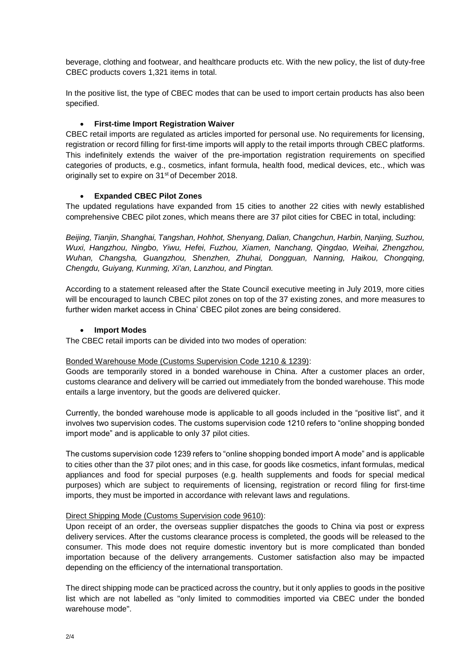beverage, clothing and footwear, and healthcare products etc. With the new policy, the list of duty-free CBEC products covers 1,321 items in total.

In the positive list, the type of CBEC modes that can be used to import certain products has also been specified.

## • **First-time Import Registration Waiver**

CBEC retail imports are regulated as articles imported for personal use. No requirements for licensing, registration or record filling for first-time imports will apply to the retail imports through CBEC platforms. This indefinitely extends the waiver of the pre-importation registration requirements on specified categories of products, e.g., cosmetics, infant formula, health food, medical devices, etc., which was originally set to expire on 31<sup>st</sup> of December 2018.

## • **Expanded CBEC Pilot Zones**

The updated regulations have expanded from 15 cities to another 22 cities with newly established comprehensive CBEC pilot zones, which means there are 37 pilot cities for CBEC in total, including:

*Beijing, Tianjin, Shanghai, Tangshan, Hohhot, Shenyang, Dalian, Changchun, Harbin, Nanjing, Suzhou, Wuxi, Hangzhou, Ningbo, Yiwu, Hefei, Fuzhou, Xiamen, Nanchang, Qingdao, Weihai, Zhengzhou, Wuhan, Changsha, Guangzhou, Shenzhen, Zhuhai, Dongguan, Nanning, Haikou, Chongqing, Chengdu, Guiyang, Kunming, Xi'an, Lanzhou, and Pingtan.*

According to a statement released after the State Council executive meeting in July 2019, more cities will be encouraged to launch CBEC pilot zones on top of the 37 existing zones, and more measures to further widen market access in China' CBEC pilot zones are being considered.

### • **Import Modes**

The CBEC retail imports can be divided into two modes of operation:

### Bonded Warehouse Mode (Customs Supervision Code 1210 & 1239):

Goods are temporarily stored in a bonded warehouse in China. After a customer places an order, customs clearance and delivery will be carried out immediately from the bonded warehouse. This mode entails a large inventory, but the goods are delivered quicker.

Currently, the bonded warehouse mode is applicable to all goods included in the "positive list", and it involves two supervision codes. The customs supervision code 1210 refers to "online shopping bonded import mode" and is applicable to only 37 pilot cities.

The customs supervision code 1239 refers to "online shopping bonded import A mode" and is applicable to cities other than the 37 pilot ones; and in this case, for goods like cosmetics, infant formulas, medical appliances and food for special purposes (e.g. health supplements and foods for special medical purposes) which are subject to requirements of licensing, registration or record filing for first-time imports, they must be imported in accordance with relevant laws and regulations.

### Direct Shipping Mode (Customs Supervision code 9610):

Upon receipt of an order, the overseas supplier dispatches the goods to China via post or express delivery services. After the customs clearance process is completed, the goods will be released to the consumer. This mode does not require domestic inventory but is more complicated than bonded importation because of the delivery arrangements. Customer satisfaction also may be impacted depending on the efficiency of the international transportation.

The direct shipping mode can be practiced across the country, but it only applies to goods in the positive list which are not labelled as "only limited to commodities imported via CBEC under the bonded warehouse mode".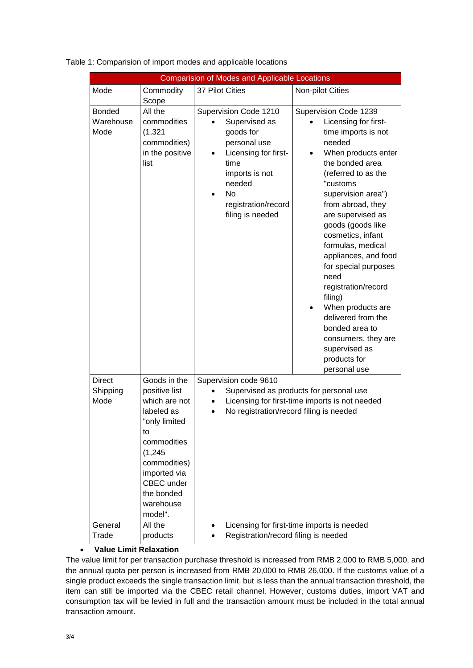| <b>Comparision of Modes and Applicable Locations</b> |                                                                                                                                                                                                           |                                                                                                                                                                                  |                                                                                                                                                                                                                                                                                                                                                                                                                                                                                                                           |  |
|------------------------------------------------------|-----------------------------------------------------------------------------------------------------------------------------------------------------------------------------------------------------------|----------------------------------------------------------------------------------------------------------------------------------------------------------------------------------|---------------------------------------------------------------------------------------------------------------------------------------------------------------------------------------------------------------------------------------------------------------------------------------------------------------------------------------------------------------------------------------------------------------------------------------------------------------------------------------------------------------------------|--|
| Mode                                                 | Commodity<br>Scope                                                                                                                                                                                        | 37 Pilot Cities                                                                                                                                                                  | Non-pilot Cities                                                                                                                                                                                                                                                                                                                                                                                                                                                                                                          |  |
| <b>Bonded</b><br>Warehouse<br>Mode                   | All the<br>commodities<br>(1, 321)<br>commodities)<br>in the positive<br>list                                                                                                                             | Supervision Code 1210<br>Supervised as<br>goods for<br>personal use<br>Licensing for first-<br>time<br>imports is not<br>needed<br>No<br>registration/record<br>filing is needed | Supervision Code 1239<br>Licensing for first-<br>time imports is not<br>needed<br>When products enter<br>the bonded area<br>(referred to as the<br>"customs<br>supervision area")<br>from abroad, they<br>are supervised as<br>goods (goods like<br>cosmetics, infant<br>formulas, medical<br>appliances, and food<br>for special purposes<br>need<br>registration/record<br>filing)<br>When products are<br>delivered from the<br>bonded area to<br>consumers, they are<br>supervised as<br>products for<br>personal use |  |
| <b>Direct</b><br>Shipping<br>Mode                    | Goods in the<br>positive list<br>which are not<br>labeled as<br>"only limited<br>to<br>commodities<br>(1, 245)<br>commodities)<br>imported via<br><b>CBEC</b> under<br>the bonded<br>warehouse<br>model". | Supervision code 9610                                                                                                                                                            | Supervised as products for personal use<br>Licensing for first-time imports is not needed<br>No registration/record filing is needed                                                                                                                                                                                                                                                                                                                                                                                      |  |
| General<br>Trade                                     | All the<br>products                                                                                                                                                                                       | $\bullet$                                                                                                                                                                        | Licensing for first-time imports is needed<br>Registration/record filing is needed                                                                                                                                                                                                                                                                                                                                                                                                                                        |  |

Table 1: Comparision of import modes and applicable locations

### • **Value Limit Relaxation**

The value limit for per transaction purchase threshold is increased from RMB 2,000 to RMB 5,000, and the annual quota per person is increased from RMB 20,000 to RMB 26,000. If the customs value of a single product exceeds the single transaction limit, but is less than the annual transaction threshold, the item can still be imported via the CBEC retail channel. However, customs duties, import VAT and consumption tax will be levied in full and the transaction amount must be included in the total annual transaction amount.